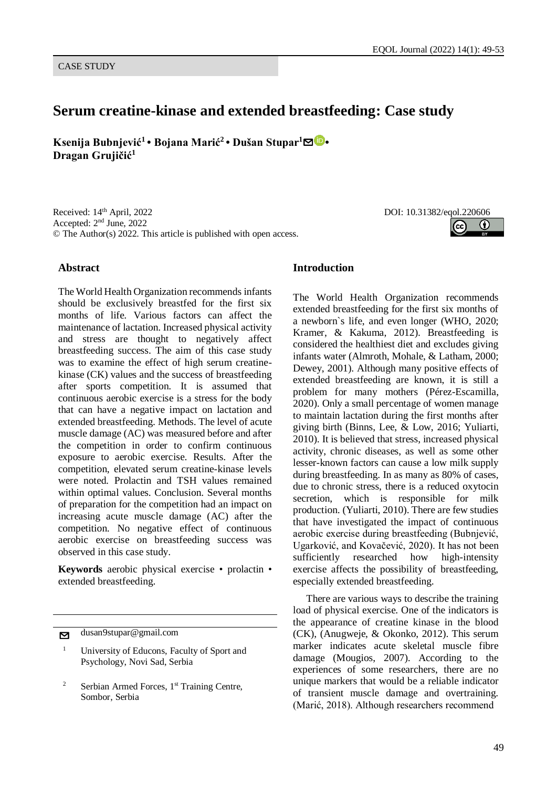## **Serum creatine-kinase and extended breastfeeding: Case study**

**Ksenija Bubnjević<sup>1</sup> • Bojana Marić<sup>2</sup> • Dušan Stupar<sup>1</sup>**[✉](mailto:) **• Dragan Grujičić<sup>1</sup>**

Received: 14<sup>th</sup> April, 2022 Accepted: 2<sup>nd</sup> June, 2022 © The Author(s) 2022. This article is published with open access.

# DOI: 10.31382/eqol.220606

#### **Abstract**

The World Health Organization recommends infants should be exclusively breastfed for the first six months of life. Various factors can affect the maintenance of lactation. Increased physical activity and stress are thought to negatively affect breastfeeding success. The aim of this case study was to examine the effect of high serum creatinekinase (CK) values and the success of breastfeeding after sports competition. It is assumed that continuous aerobic exercise is a stress for the body that can have a negative impact on lactation and extended breastfeeding. Methods. The level of acute muscle damage (AC) was measured before and after the competition in order to confirm continuous exposure to aerobic exercise. Results. After the competition, elevated serum creatine-kinase levels were noted. Prolactin and TSH values remained within optimal values. Conclusion. Several months of preparation for the competition had an impact on increasing acute muscle damage (AC) after the competition. No negative effect of continuous aerobic exercise on breastfeeding success was observed in this case study.

**Keywords** aerobic physical exercise • prolactin • extended breastfeeding.

**v** dusan9stupar@gmail.com

#### **Introduction**

The World Health Organization recommends extended breastfeeding for the first six months of a newborn`s life, and even longer (WHO, 2020; Kramer, & Kakuma, 2012). Breastfeeding is considered the healthiest diet and excludes giving infants water (Almroth, Mohale, & Latham, 2000; Dewey, 2001). Although many positive effects of extended breastfeeding are known, it is still a problem for many mothers (Pérez-Escamilla, 2020). Only a small percentage of women manage to maintain lactation during the first months after giving birth (Binns, Lee, & Low, 2016; Yuliarti, 2010). It is believed that stress, increased physical activity, chronic diseases, as well as some other lesser-known factors can cause a low milk supply during breastfeeding. In as many as 80% of cases, due to chronic stress, there is a reduced oxytocin secretion, which is responsible for milk production. (Yuliarti, 2010). There are few studies that have investigated the impact of continuous aerobic exercise during breastfeeding (Bubnjević, Ugarković, and Kovačević, 2020). It has not been sufficiently researched how high-intensity exercise affects the possibility of breastfeeding, especially extended breastfeeding.

There are various ways to describe the training load of physical exercise. One of the indicators is the appearance of creatine kinase in the blood (CK), (Anugweje, & Okonko, 2012). This serum marker indicates acute skeletal muscle fibre damage (Mougios, 2007). According to the experiences of some researchers, there are no unique markers that would be a reliable indicator of transient muscle damage and overtraining. (Marić, 2018). Although researchers recommend

<sup>&</sup>lt;sup>1</sup> University of Educons, Faculty of Sport and Psychology, Novi Sad, Serbia

 $2^2$  Serbian Armed Forces, 1<sup>st</sup> Training Centre, Sombor, Serbia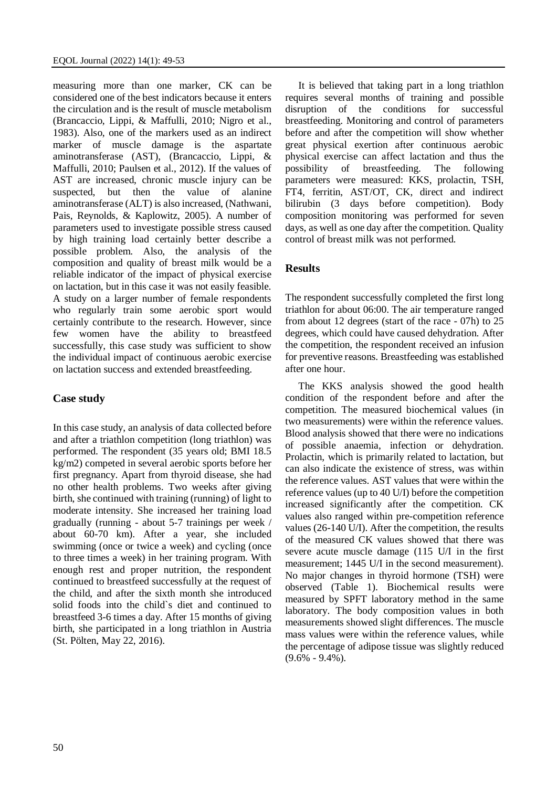measuring more than one marker, CK can be considered one of the best indicators because it enters the circulation and is the result of muscle metabolism (Brancaccio, Lippi, & Maffulli, 2010; Nigro et al., 1983). Also, one of the markers used as an indirect marker of muscle damage is the aspartate aminotransferase (AST), (Brancaccio, Lippi, & Maffulli, 2010; Paulsen et al., 2012). If the values of AST are increased, chronic muscle injury can be suspected, but then the value of alanine aminotransferase (ALT) is also increased, (Nathwani, Pais, Reynolds, & Kaplowitz, 2005). A number of parameters used to investigate possible stress caused by high training load certainly better describe a possible problem. Also, the analysis of the composition and quality of breast milk would be a reliable indicator of the impact of physical exercise on lactation, but in this case it was not easily feasible. A study on a larger number of female respondents who regularly train some aerobic sport would certainly contribute to the research. However, since few women have the ability to breastfeed successfully, this case study was sufficient to show the individual impact of continuous aerobic exercise on lactation success and extended breastfeeding.

#### **Case study**

In this case study, an analysis of data collected before and after a triathlon competition (long triathlon) was performed. The respondent (35 years old; BMI 18.5 kg/m2) competed in several aerobic sports before her first pregnancy. Apart from thyroid disease, she had no other health problems. Two weeks after giving birth, she continued with training (running) of light to moderate intensity. She increased her training load gradually (running - about 5-7 trainings per week / about 60-70 km). After a year, she included swimming (once or twice a week) and cycling (once to three times a week) in her training program. With enough rest and proper nutrition, the respondent continued to breastfeed successfully at the request of the child, and after the sixth month she introduced solid foods into the child`s diet and continued to breastfeed 3-6 times a day. After 15 months of giving birth, she participated in a long triathlon in Austria (St. Pölten, May 22, 2016).

It is believed that taking part in a long triathlon requires several months of training and possible disruption of the conditions for successful breastfeeding. Monitoring and control of parameters before and after the competition will show whether great physical exertion after continuous aerobic physical exercise can affect lactation and thus the possibility of breastfeeding. The following parameters were measured: KKS, prolactin, TSH, FT4, ferritin, AST/OT, CK, direct and indirect bilirubin (3 days before competition). Body composition monitoring was performed for seven days, as well as one day after the competition. Quality control of breast milk was not performed.

### **Results**

The respondent successfully completed the first long triathlon for about 06:00. The air temperature ranged from about 12 degrees (start of the race - 07h) to 25 degrees, which could have caused dehydration. After the competition, the respondent received an infusion for preventive reasons. Breastfeeding was established after one hour.

The KKS analysis showed the good health condition of the respondent before and after the competition. The measured biochemical values (in two measurements) were within the reference values. Blood analysis showed that there were no indications of possible anaemia, infection or dehydration. Prolactin, which is primarily related to lactation, but can also indicate the existence of stress, was within the reference values. AST values that were within the reference values (up to 40 U/I) before the competition increased significantly after the competition. CK values also ranged within pre-competition reference values (26-140 U/I). After the competition, the results of the measured CK values showed that there was severe acute muscle damage (115 U/I in the first measurement; 1445 U/I in the second measurement). No major changes in thyroid hormone (TSH) were observed (Table 1). Biochemical results were measured by SPFT laboratory method in the same laboratory. The body composition values in both measurements showed slight differences. The muscle mass values were within the reference values, while the percentage of adipose tissue was slightly reduced  $(9.6\% - 9.4\%).$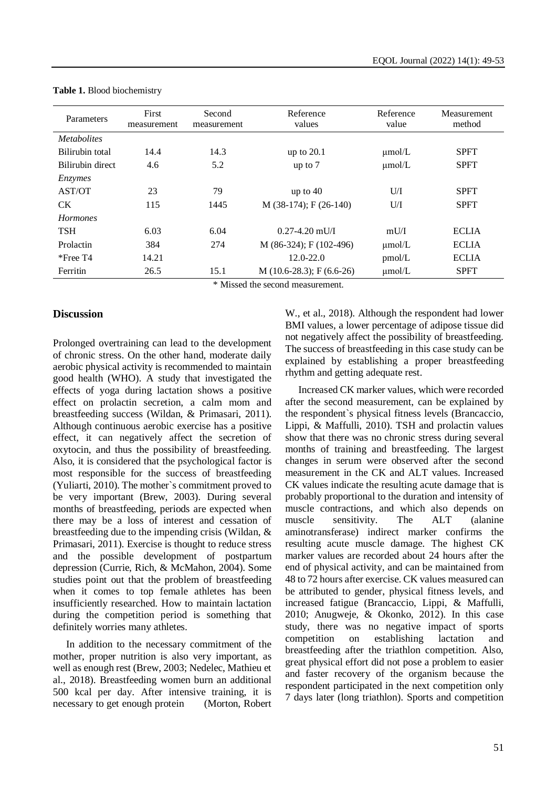| Parameters         | First<br>measurement | Second<br>measurement | Reference<br>values       | Reference<br>value | Measurement<br>method |  |
|--------------------|----------------------|-----------------------|---------------------------|--------------------|-----------------------|--|
| <i>Metabolites</i> |                      |                       |                           |                    |                       |  |
| Bilirubin total    | 14.4                 | 14.3                  | up to $20.1$              | $\mu$ mol/L        | <b>SPFT</b>           |  |
| Bilirubin direct   | 4.6                  | 5.2                   | up to $7$                 | $\mu$ mol/L        | <b>SPFT</b>           |  |
| Enzymes            |                      |                       |                           |                    |                       |  |
| AST/OT             | 23                   | 79                    | up to $40$                | U/I                | <b>SPFT</b>           |  |
| <b>CK</b>          | 115                  | 1445                  | $M$ (38-174); F (26-140)  | U/I                | <b>SPFT</b>           |  |
| <b>Hormones</b>    |                      |                       |                           |                    |                       |  |
| <b>TSH</b>         | 6.03                 | 6.04                  | $0.27 - 4.20$ mU/I        | mU/I               | <b>ECLIA</b>          |  |
| Prolactin          | 384                  | 274                   | M (86-324); F (102-496)   | $\mu$ mol/L        | <b>ECLIA</b>          |  |
| $*$ Free T4        | 14.21                |                       | $12.0 - 22.0$             | pmol/L             | <b>ECLIA</b>          |  |
| Ferritin           | 26.5                 | 15.1                  | $M(10.6-28.3); F(6.6-26)$ | $\mu$ mol/L        | <b>SPFT</b>           |  |
| .                  |                      |                       |                           |                    |                       |  |

**Table 1.** Blood biochemistry

\* Missed the second measurement.

### **Discussion**

Prolonged overtraining can lead to the development of chronic stress. On the other hand, moderate daily aerobic physical activity is recommended to maintain good health (WHO). A study that investigated the effects of yoga during lactation shows a positive effect on prolactin secretion, a calm mom and breastfeeding success (Wildan, & Primasari, 2011). Although continuous aerobic exercise has a positive effect, it can negatively affect the secretion of oxytocin, and thus the possibility of breastfeeding. Also, it is considered that the psychological factor is most responsible for the success of breastfeeding (Yuliarti, 2010). The mother`s commitment proved to be very important (Brew, 2003). During several months of breastfeeding, periods are expected when there may be a loss of interest and cessation of breastfeeding due to the impending crisis (Wildan, & Primasari, 2011). Exercise is thought to reduce stress and the possible development of postpartum depression (Currie, Rich, & McMahon, 2004). Some studies point out that the problem of breastfeeding when it comes to top female athletes has been insufficiently researched. How to maintain lactation during the competition period is something that definitely worries many athletes.

In addition to the necessary commitment of the mother, proper nutrition is also very important, as well as enough rest (Brew, 2003; Nedelec, Mathieu et al., 2018). Breastfeeding women burn an additional 500 kcal per day. After intensive training, it is necessary to get enough protein (Morton, Robert W., et al., 2018). Although the respondent had lower BMI values, a lower percentage of adipose tissue did not negatively affect the possibility of breastfeeding. The success of breastfeeding in this case study can be explained by establishing a proper breastfeeding rhythm and getting adequate rest.

Increased CK marker values, which were recorded after the second measurement, can be explained by the respondent`s physical fitness levels (Brancaccio, Lippi, & Maffulli, 2010). TSH and prolactin values show that there was no chronic stress during several months of training and breastfeeding. The largest changes in serum were observed after the second measurement in the CK and ALT values. Increased CK values indicate the resulting acute damage that is probably proportional to the duration and intensity of muscle contractions, and which also depends on muscle sensitivity. The ALT (alanine aminotransferase) indirect marker confirms the resulting acute muscle damage. The highest CK marker values are recorded about 24 hours after the end of physical activity, and can be maintained from 48 to 72 hours after exercise. CK values measured can be attributed to gender, physical fitness levels, and increased fatigue (Brancaccio, Lippi, & Maffulli, 2010; Anugweje, & Okonko, 2012). In this case study, there was no negative impact of sports competition on establishing lactation and breastfeeding after the triathlon competition. Also, great physical effort did not pose a problem to easier and faster recovery of the organism because the respondent participated in the next competition only 7 days later (long triathlon). Sports and competition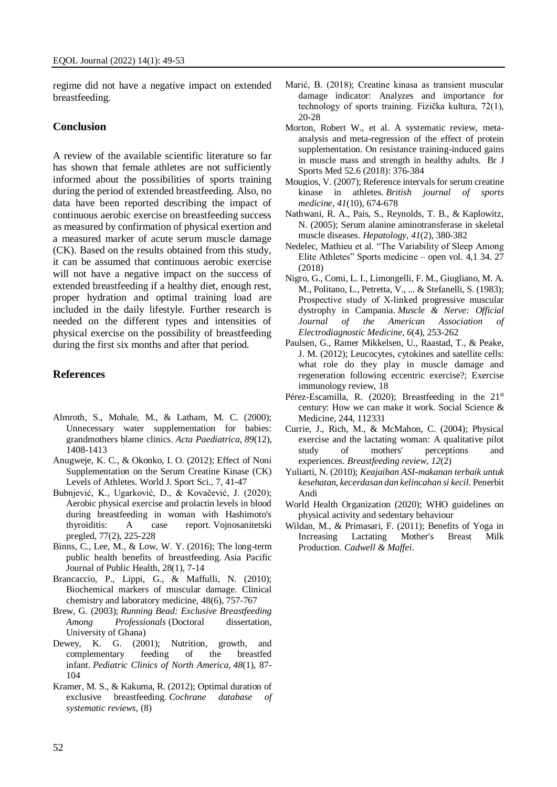regime did not have a negative impact on extended breastfeeding.

#### **Conclusion**

A review of the available scientific literature so far has shown that female athletes are not sufficiently informed about the possibilities of sports training during the period of extended breastfeeding. Also, no data have been reported describing the impact of continuous aerobic exercise on breastfeeding success as measured by confirmation of physical exertion and a measured marker of acute serum muscle damage (CK). Based on the results obtained from this study, it can be assumed that continuous aerobic exercise will not have a negative impact on the success of extended breastfeeding if a healthy diet, enough rest, proper hydration and optimal training load are included in the daily lifestyle. Further research is needed on the different types and intensities of physical exercise on the possibility of breastfeeding during the first six months and after that period.

#### **References**

- Almroth, S., Mohale, M., & Latham, M. C. (2000); Unnecessary water supplementation for babies: grandmothers blame clinics. *Acta Paediatrica*, *89*(12), 1408-1413
- Anugweje, K. C., & Okonko, I. O. (2012); Effect of Noni Supplementation on the Serum Creatine Kinase (CK) Levels of Athletes. World J. Sport Sci., 7, 41-47
- Bubnjević, K., Ugarković, D., & Kovačević, J. (2020); Aerobic physical exercise and prolactin levels in blood during breastfeeding in woman with Hashimoto's thyroiditis: A case report. Vojnosanitetski pregled, 77(2), 225-228
- Binns, C., Lee, M., & Low, W. Y. (2016); The long-term public health benefits of breastfeeding. Asia Pacific Journal of Public Health, 28(1), 7-14
- Brancaccio, P., Lippi, G., & Maffulli, N. (2010); Biochemical markers of muscular damage. Clinical chemistry and laboratory medicine, 48(6), 757-767
- Brew, G. (2003); *Running Bead: Exclusive Breastfeeding Among Professionals* (Doctoral dissertation, University of Ghana)
- Dewey, K. G. (2001); Nutrition, growth, and complementary feeding of the breastfed infant. *Pediatric Clinics of North America*, *48*(1), 87- 104
- Kramer, M. S., & Kakuma, R. (2012); Optimal duration of exclusive breastfeeding. *Cochrane database of systematic reviews*, (8)
- Marić, B. (2018); Creatine kinasa as transient muscular damage indicator: Analyzes and importance for technology of sports training. Fizička kultura, 72(1), 20-28
- Morton, Robert W., et al. A systematic review, metaanalysis and meta-regression of the effect of protein supplementation. On resistance training-induced gains in muscle mass and strength in healthy adults. Br J Sports Med 52.6 (2018): 376-384
- Mougios, V. (2007); Reference intervals for serum creatine kinase in athletes. *British journal of sports medicine*, *41*(10), 674-678
- Nathwani, R. A., Pais, S., Reynolds, T. B., & Kaplowitz, N. (2005); Serum alanine aminotransferase in skeletal muscle diseases. *Hepatology*, *41*(2), 380-382
- Nedelec, Mathieu et al. "The Variability of Sleep Among Elite Athletes" Sports medicine – open vol. 4,1 34. 27 (2018)
- Nigro, G., Comi, L. I., Limongelli, F. M., Giugliano, M. A. M., Politano, L., Petretta, V., ... & Stefanelli, S. (1983); Prospective study of X-linked progressive muscular dystrophy in Campania. *Muscle & Nerve: Official Journal of the American Association of Electrodiagnostic Medicine*, *6*(4), 253-262
- Paulsen, G., Ramer Mikkelsen, U., Raastad, T., & Peake, J. M. (2012); Leucocytes, cytokines and satellite cells: what role do they play in muscle damage and regeneration following eccentric exercise?; Exercise immunology review, 18
- Pérez-Escamilla, R. (2020); Breastfeeding in the 21<sup>st</sup> century: How we can make it work. Social Science & Medicine, 244, 112331
- Currie, J., Rich, M., & McMahon, C. (2004); Physical exercise and the lactating woman: A qualitative pilot study of mothers' perceptions and experiences. *Breastfeeding review*, *12*(2)
- Yuliarti, N. (2010); *Keajaiban ASI-makanan terbaik untuk kesehatan, kecerdasan dan kelincahan si kecil*. Penerbit Andi
- World Health Organization (2020); WHO guidelines on physical activity and sedentary behaviour
- Wildan, M., & Primasari, F. (2011); Benefits of Yoga in Increasing Lactating Mother's Breast Milk Production. *Cadwell & Maffei*.